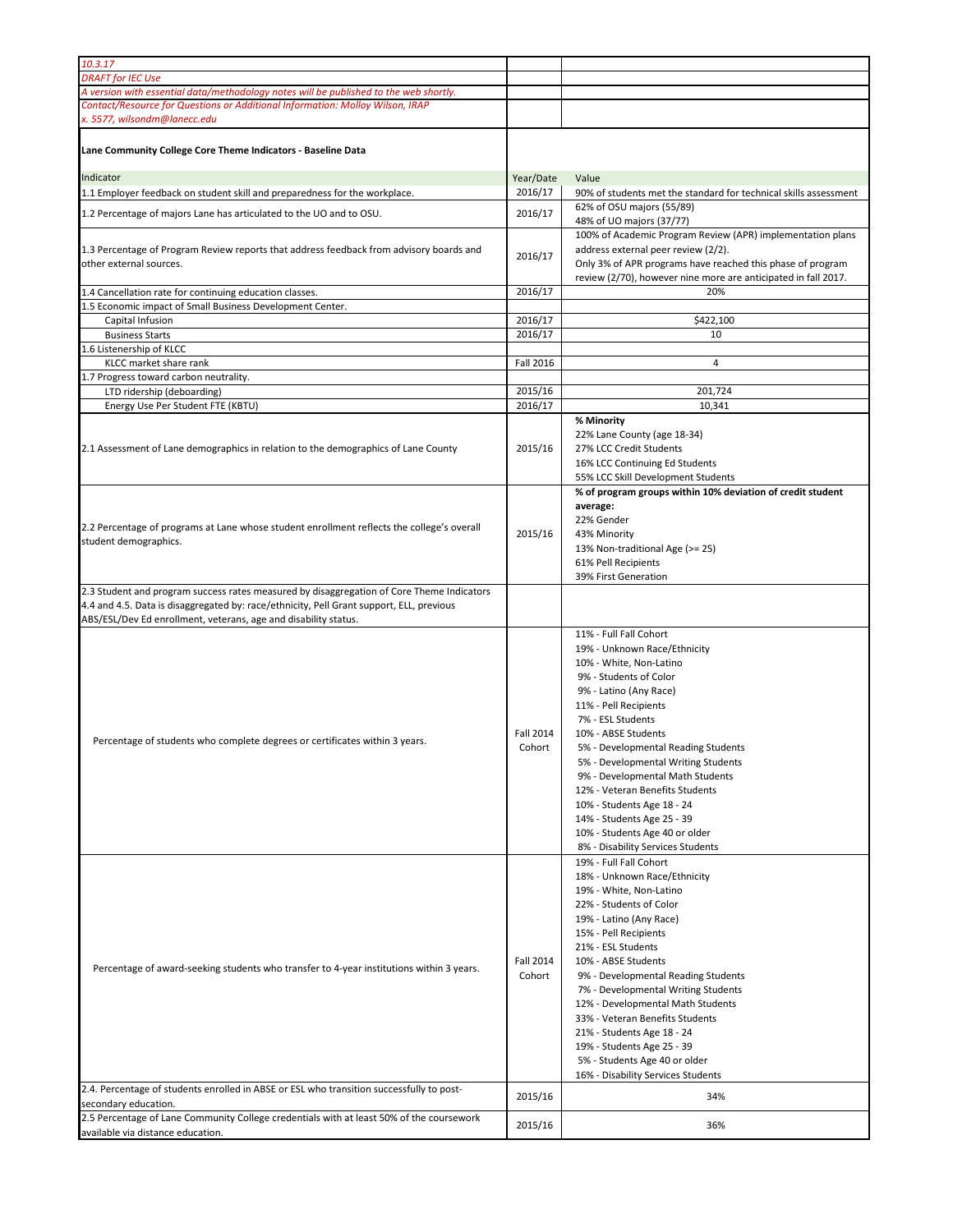| 10.3.17                                                                                                                                                                                                          |                            |                                                                                                                                                                                                                                                                                                                                                                                                                                                                                                        |
|------------------------------------------------------------------------------------------------------------------------------------------------------------------------------------------------------------------|----------------------------|--------------------------------------------------------------------------------------------------------------------------------------------------------------------------------------------------------------------------------------------------------------------------------------------------------------------------------------------------------------------------------------------------------------------------------------------------------------------------------------------------------|
| <b>DRAFT</b> for IEC Use                                                                                                                                                                                         |                            |                                                                                                                                                                                                                                                                                                                                                                                                                                                                                                        |
| A version with essential data/methodology notes will be published to the web shortly.                                                                                                                            |                            |                                                                                                                                                                                                                                                                                                                                                                                                                                                                                                        |
| Contact/Resource for Questions or Additional Information: Molloy Wilson, IRAP                                                                                                                                    |                            |                                                                                                                                                                                                                                                                                                                                                                                                                                                                                                        |
| x. 5577, wilsondm@lanecc.edu                                                                                                                                                                                     |                            |                                                                                                                                                                                                                                                                                                                                                                                                                                                                                                        |
| Lane Community College Core Theme Indicators - Baseline Data                                                                                                                                                     |                            |                                                                                                                                                                                                                                                                                                                                                                                                                                                                                                        |
| Indicator                                                                                                                                                                                                        | Year/Date                  | Value                                                                                                                                                                                                                                                                                                                                                                                                                                                                                                  |
| 1.1 Employer feedback on student skill and preparedness for the workplace.                                                                                                                                       | 2016/17                    | 90% of students met the standard for technical skills assessment                                                                                                                                                                                                                                                                                                                                                                                                                                       |
| 1.2 Percentage of majors Lane has articulated to the UO and to OSU.                                                                                                                                              | 2016/17                    | 62% of OSU majors (55/89)<br>48% of UO majors (37/77)                                                                                                                                                                                                                                                                                                                                                                                                                                                  |
| 1.3 Percentage of Program Review reports that address feedback from advisory boards and<br>other external sources.                                                                                               | 2016/17                    | 100% of Academic Program Review (APR) implementation plans<br>address external peer review (2/2).<br>Only 3% of APR programs have reached this phase of program<br>review (2/70), however nine more are anticipated in fall 2017.                                                                                                                                                                                                                                                                      |
| 1.4 Cancellation rate for continuing education classes.<br>1.5 Economic impact of Small Business Development Center.                                                                                             | 2016/17                    | 20%                                                                                                                                                                                                                                                                                                                                                                                                                                                                                                    |
| Capital Infusion                                                                                                                                                                                                 | 2016/17                    | \$422,100                                                                                                                                                                                                                                                                                                                                                                                                                                                                                              |
| <b>Business Starts</b>                                                                                                                                                                                           | 2016/17                    | 10                                                                                                                                                                                                                                                                                                                                                                                                                                                                                                     |
| 1.6 Listenership of KLCC                                                                                                                                                                                         |                            |                                                                                                                                                                                                                                                                                                                                                                                                                                                                                                        |
| KLCC market share rank                                                                                                                                                                                           | Fall 2016                  | $\overline{4}$                                                                                                                                                                                                                                                                                                                                                                                                                                                                                         |
| 1.7 Progress toward carbon neutrality.                                                                                                                                                                           |                            |                                                                                                                                                                                                                                                                                                                                                                                                                                                                                                        |
| LTD ridership (deboarding)                                                                                                                                                                                       | 2015/16                    | 201,724                                                                                                                                                                                                                                                                                                                                                                                                                                                                                                |
| Energy Use Per Student FTE (KBTU)                                                                                                                                                                                | 2016/17                    | 10,341                                                                                                                                                                                                                                                                                                                                                                                                                                                                                                 |
| 2.1 Assessment of Lane demographics in relation to the demographics of Lane County                                                                                                                               | 2015/16                    | % Minority<br>22% Lane County (age 18-34)<br>27% LCC Credit Students<br>16% LCC Continuing Ed Students<br>55% LCC Skill Development Students                                                                                                                                                                                                                                                                                                                                                           |
| 2.2 Percentage of programs at Lane whose student enrollment reflects the college's overall<br>student demographics.<br>2.3 Student and program success rates measured by disaggregation of Core Theme Indicators | 2015/16                    | % of program groups within 10% deviation of credit student<br>average:<br>22% Gender<br>43% Minority<br>13% Non-traditional Age (>= 25)<br>61% Pell Recipients<br>39% First Generation                                                                                                                                                                                                                                                                                                                 |
| 4.4 and 4.5. Data is disaggregated by: race/ethnicity, Pell Grant support, ELL, previous<br>ABS/ESL/Dev Ed enrollment, veterans, age and disability status.                                                      |                            |                                                                                                                                                                                                                                                                                                                                                                                                                                                                                                        |
| Percentage of students who complete degrees or certificates within 3 years.                                                                                                                                      | Fall 2014<br>Cohort        | 11% - Full Fall Cohort<br>19% - Unknown Race/Ethnicity<br>10% - White, Non-Latino<br>9% - Students of Color<br>9% - Latino (Any Race)<br>11% - Pell Recipients<br>7% - ESL Students<br>10% - ABSE Students<br>5% - Developmental Reading Students<br>5% - Developmental Writing Students<br>9% - Developmental Math Students<br>12% - Veteran Benefits Students<br>10% - Students Age 18 - 24<br>14% - Students Age 25 - 39<br>10% - Students Age 40 or older<br>8% - Disability Services Students     |
| Percentage of award-seeking students who transfer to 4-year institutions within 3 years.                                                                                                                         | <b>Fall 2014</b><br>Cohort | 19% - Full Fall Cohort<br>18% - Unknown Race/Ethnicity<br>19% - White, Non-Latino<br>22% - Students of Color<br>19% - Latino (Any Race)<br>15% - Pell Recipients<br>21% - ESL Students<br>10% - ABSE Students<br>9% - Developmental Reading Students<br>7% - Developmental Writing Students<br>12% - Developmental Math Students<br>33% - Veteran Benefits Students<br>21% - Students Age 18 - 24<br>19% - Students Age 25 - 39<br>5% - Students Age 40 or older<br>16% - Disability Services Students |
| 2.4. Percentage of students enrolled in ABSE or ESL who transition successfully to post-                                                                                                                         | 2015/16                    | 34%                                                                                                                                                                                                                                                                                                                                                                                                                                                                                                    |
| secondary education.<br>2.5 Percentage of Lane Community College credentials with at least 50% of the coursework                                                                                                 |                            |                                                                                                                                                                                                                                                                                                                                                                                                                                                                                                        |
| available via distance education.                                                                                                                                                                                | 2015/16                    | 36%                                                                                                                                                                                                                                                                                                                                                                                                                                                                                                    |